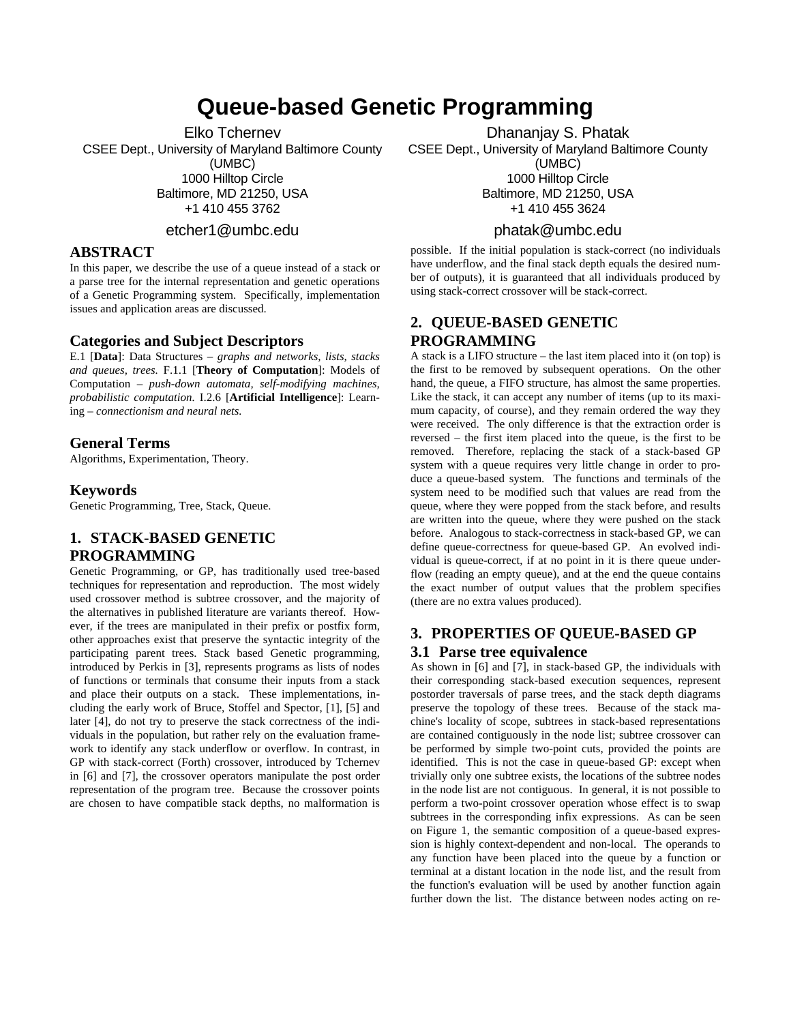# **Queue-based Genetic Programming**

Elko Tchernev

CSEE Dept., University of Maryland Baltimore County (UMBC) 1000 Hilltop Circle Baltimore, MD 21250, USA +1 410 455 3762

etcher1@umbc.edu

#### **ABSTRACT**

In this paper, we describe the use of a queue instead of a stack or a parse tree for the internal representation and genetic operations of a Genetic Programming system. Specifically, implementation issues and application areas are discussed.

#### **Categories and Subject Descriptors**

E.1 [**Data**]: Data Structures – *graphs and networks, lists, stacks and queues, trees.* F.1.1 [**Theory of Computation**]: Models of Computation – *push-down automata, self-modifying machines, probabilistic computation.* I.2.6 [**Artificial Intelligence**]: Learning – *connectionism and neural nets.* 

## **General Terms**

Algorithms, Experimentation, Theory.

#### **Keywords**

Genetic Programming, Tree, Stack, Queue.

## **1. STACK-BASED GENETIC PROGRAMMING**

Genetic Programming, or GP, has traditionally used tree-based techniques for representation and reproduction. The most widely used crossover method is subtree crossover, and the majority of the alternatives in published literature are variants thereof. However, if the trees are manipulated in their prefix or postfix form, other approaches exist that preserve the syntactic integrity of the participating parent trees. Stack based Genetic programming, introduced by Perkis in [3], represents programs as lists of nodes of functions or terminals that consume their inputs from a stack and place their outputs on a stack. These implementations, including the early work of Bruce, Stoffel and Spector, [1], [5] and later [4], do not try to preserve the stack correctness of the individuals in the population, but rather rely on the evaluation framework to identify any stack underflow or overflow. In contrast, in GP with stack-correct (Forth) crossover, introduced by Tchernev in [6] and [7], the crossover operators manipulate the post order representation of the program tree. Because the crossover points are chosen to have compatible stack depths, no malformation is

Dhananjay S. Phatak CSEE Dept., University of Maryland Baltimore County (UMBC) 1000 Hilltop Circle Baltimore, MD 21250, USA +1 410 455 3624

## phatak@umbc.edu

possible. If the initial population is stack-correct (no individuals have underflow, and the final stack depth equals the desired number of outputs), it is guaranteed that all individuals produced by using stack-correct crossover will be stack-correct.

## **2. QUEUE-BASED GENETIC PROGRAMMING**

A stack is a LIFO structure – the last item placed into it (on top) is the first to be removed by subsequent operations. On the other hand, the queue, a FIFO structure, has almost the same properties. Like the stack, it can accept any number of items (up to its maximum capacity, of course), and they remain ordered the way they were received. The only difference is that the extraction order is reversed – the first item placed into the queue, is the first to be removed. Therefore, replacing the stack of a stack-based GP system with a queue requires very little change in order to produce a queue-based system. The functions and terminals of the system need to be modified such that values are read from the queue, where they were popped from the stack before, and results are written into the queue, where they were pushed on the stack before. Analogous to stack-correctness in stack-based GP, we can define queue-correctness for queue-based GP. An evolved individual is queue-correct, if at no point in it is there queue underflow (reading an empty queue), and at the end the queue contains the exact number of output values that the problem specifies (there are no extra values produced).

## **3. PROPERTIES OF QUEUE-BASED GP**

## **3.1 Parse tree equivalence**

As shown in [6] and [7], in stack-based GP, the individuals with their corresponding stack-based execution sequences, represent postorder traversals of parse trees, and the stack depth diagrams preserve the topology of these trees. Because of the stack machine's locality of scope, subtrees in stack-based representations are contained contiguously in the node list; subtree crossover can be performed by simple two-point cuts, provided the points are identified. This is not the case in queue-based GP: except when trivially only one subtree exists, the locations of the subtree nodes in the node list are not contiguous. In general, it is not possible to perform a two-point crossover operation whose effect is to swap subtrees in the corresponding infix expressions. As can be seen on Figure 1, the semantic composition of a queue-based expression is highly context-dependent and non-local. The operands to any function have been placed into the queue by a function or terminal at a distant location in the node list, and the result from the function's evaluation will be used by another function again further down the list. The distance between nodes acting on re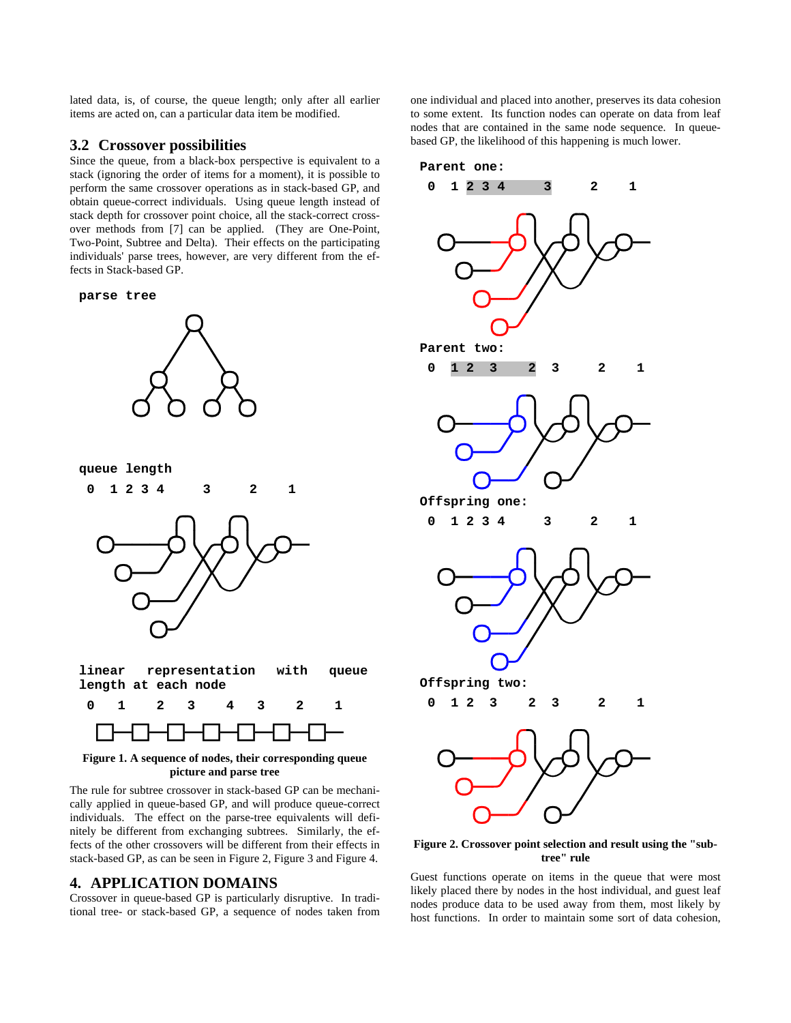lated data, is, of course, the queue length; only after all earlier items are acted on, can a particular data item be modified.

#### **3.2 Crossover possibilities**

Since the queue, from a black-box perspective is equivalent to a stack (ignoring the order of items for a moment), it is possible to perform the same crossover operations as in stack-based GP, and obtain queue-correct individuals. Using queue length instead of stack depth for crossover point choice, all the stack-correct crossover methods from [7] can be applied. (They are One-Point, Two-Point, Subtree and Delta). Their effects on the participating individuals' parse trees, however, are very different from the effects in Stack-based GP.









| linear representation with queue |  |
|----------------------------------|--|
| length at each node              |  |



**Figure 1. A sequence of nodes, their corresponding queue picture and parse tree** 

The rule for subtree crossover in stack-based GP can be mechanically applied in queue-based GP, and will produce queue-correct individuals. The effect on the parse-tree equivalents will definitely be different from exchanging subtrees. Similarly, the effects of the other crossovers will be different from their effects in stack-based GP, as can be seen in Figure 2, Figure 3 and Figure 4.

#### **4. APPLICATION DOMAINS**

Crossover in queue-based GP is particularly disruptive. In traditional tree- or stack-based GP, a sequence of nodes taken from one individual and placed into another, preserves its data cohesion to some extent. Its function nodes can operate on data from leaf nodes that are contained in the same node sequence. In queuebased GP, the likelihood of this happening is much lower.



**Figure 2. Crossover point selection and result using the "subtree" rule** 

Guest functions operate on items in the queue that were most likely placed there by nodes in the host individual, and guest leaf nodes produce data to be used away from them, most likely by host functions. In order to maintain some sort of data cohesion,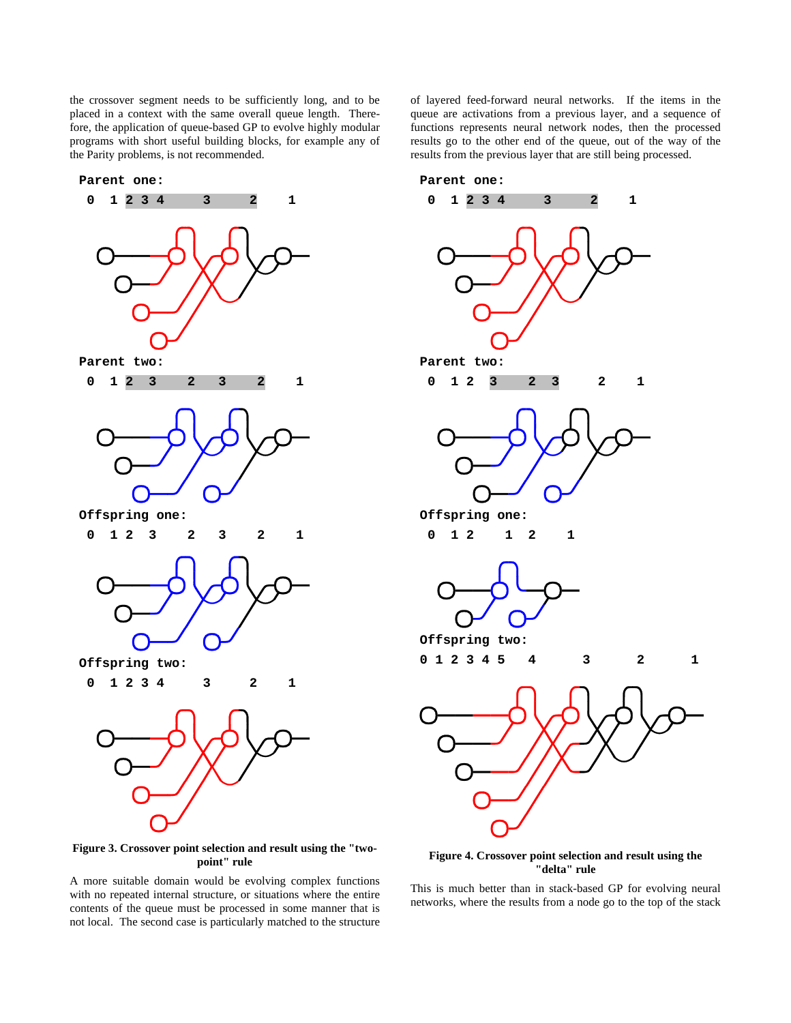the crossover segment needs to be sufficiently long, and to be placed in a context with the same overall queue length. Therefore, the application of queue-based GP to evolve highly modular programs with short useful building blocks, for example any of the Parity problems, is not recommended.

**Parent one:** 







 **0 1 2 3 2 3 2 1** 



 **0 1 2 3 4 3 2 1**



**Figure 3. Crossover point selection and result using the "twopoint" rule** 

A more suitable domain would be evolving complex functions with no repeated internal structure, or situations where the entire contents of the queue must be processed in some manner that is not local. The second case is particularly matched to the structure

of layered feed-forward neural networks. If the items in the queue are activations from a previous layer, and a sequence of functions represents neural network nodes, then the processed results go to the other end of the queue, out of the way of the results from the previous layer that are still being processed.









 **0 1 2 1 2 1** 



**0 1 2 3 4 5 4 3 2 1**



**Figure 4. Crossover point selection and result using the "delta" rule** 

This is much better than in stack-based GP for evolving neural networks, where the results from a node go to the top of the stack